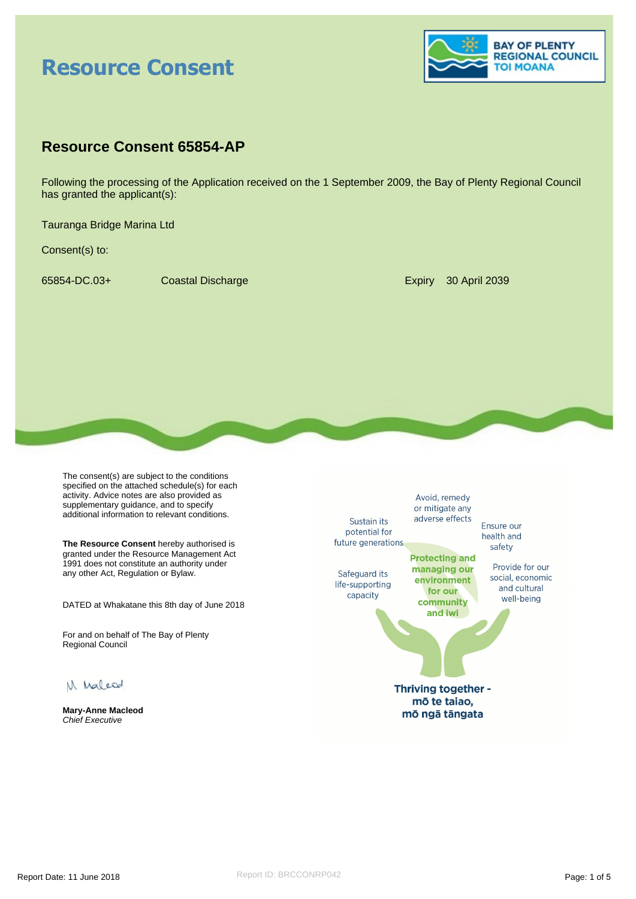# **Resource Consent**



# **Resource Consent 65854-AP**

Following the processing of the Application received on the 1 September 2009, the Bay of Plenty Regional Council has granted the applicant(s):

Tauranga Bridge Marina Ltd

Consent(s) to:

65854-DC.03+ Coastal Discharge Expiry 30 April 2039

The consent(s) are subject to the conditions specified on the attached schedule(s) for each activity. Advice notes are also provided as supplementary guidance, and to specify additional information to relevant conditions.

**The Resource Consent** hereby authorised is granted under the Resource Management Act 1991 does not constitute an authority under any other Act, Regulation or Bylaw.

DATED at Whakatane this 8th day of June 2018

For and on behalf of The Bay of Plenty Regional Council

M Malcod

**Mary-Anne Macleod** Chief Executive

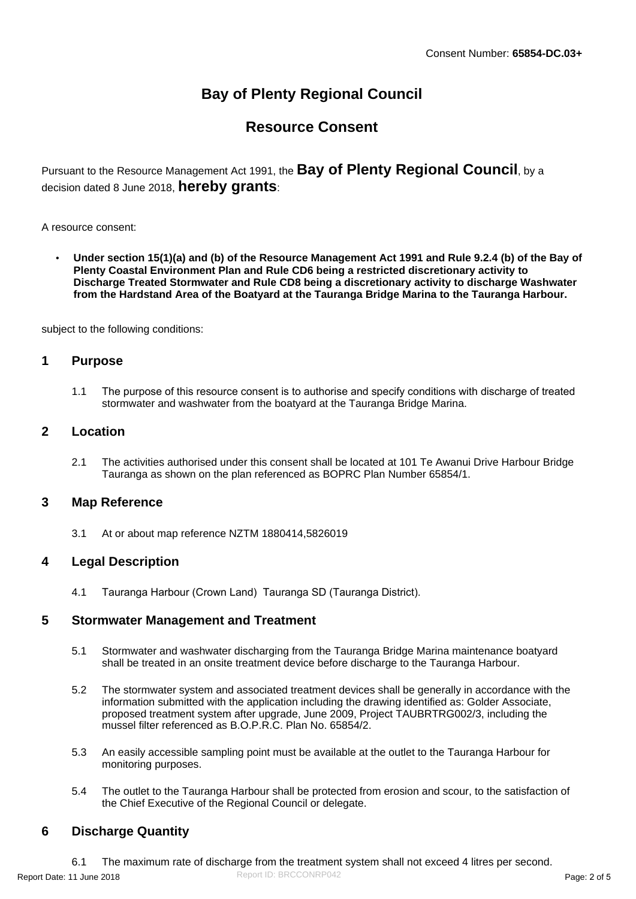# **Bay of Plenty Regional Council**

# **Resource Consent**

Pursuant to the Resource Management Act 1991, the **Bay of Plenty Regional Council**, by a decision dated 8 June 2018, **hereby grants**:

A resource consent:

 **Under section 15(1)(a) and (b) of the Resource Management Act 1991 and Rule 9.2.4 (b) of the Bay of Plenty Coastal Environment Plan and Rule CD6 being a restricted discretionary activity to Discharge Treated Stormwater and Rule CD8 being a discretionary activity to discharge Washwater from the Hardstand Area of the Boatyard at the Tauranga Bridge Marina to the Tauranga Harbour.**

subject to the following conditions:

# **1 Purpose**

1.1 The purpose of this resource consent is to authorise and specify conditions with discharge of treated stormwater and washwater from the boatyard at the Tauranga Bridge Marina.

# **2 Location**

2.1 The activities authorised under this consent shall be located at 101 Te Awanui Drive Harbour Bridge Tauranga as shown on the plan referenced as BOPRC Plan Number 65854/1.

# **3 Map Reference**

3.1 At or about map reference NZTM 1880414,5826019

# **4 Legal Description**

4.1 Tauranga Harbour (Crown Land) Tauranga SD (Tauranga District).

# **5 Stormwater Management and Treatment**

- 5.1 Stormwater and washwater discharging from the Tauranga Bridge Marina maintenance boatyard shall be treated in an onsite treatment device before discharge to the Tauranga Harbour.
- 5.2 The stormwater system and associated treatment devices shall be generally in accordance with the information submitted with the application including the drawing identified as: Golder Associate, proposed treatment system after upgrade, June 2009, Project TAUBRTRG002/3, including the mussel filter referenced as B.O.P.R.C. Plan No. 65854/2.
- 5.3 An easily accessible sampling point must be available at the outlet to the Tauranga Harbour for monitoring purposes.
- 5.4 The outlet to the Tauranga Harbour shall be protected from erosion and scour, to the satisfaction of the Chief Executive of the Regional Council or delegate.

# **6 Discharge Quantity**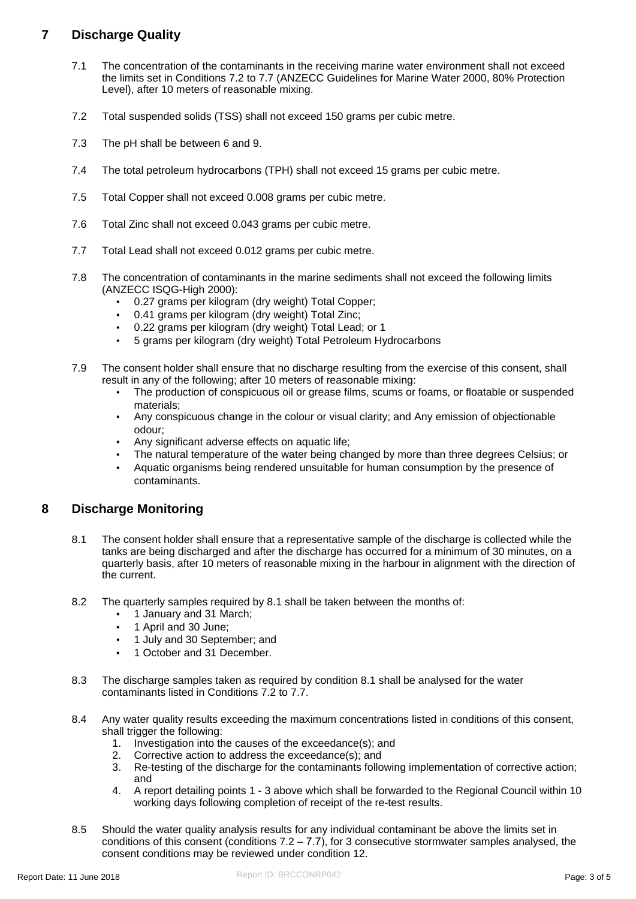# **7 Discharge Quality**

- 7.1 The concentration of the contaminants in the receiving marine water environment shall not exceed the limits set in Conditions 7.2 to 7.7 (ANZECC Guidelines for Marine Water 2000, 80% Protection Level), after 10 meters of reasonable mixing.
- 7.2 Total suspended solids (TSS) shall not exceed 150 grams per cubic metre.
- 7.3 The pH shall be between 6 and 9.
- 7.4 The total petroleum hydrocarbons (TPH) shall not exceed 15 grams per cubic metre.
- 7.5 Total Copper shall not exceed 0.008 grams per cubic metre.
- 7.6 Total Zinc shall not exceed 0.043 grams per cubic metre.
- 7.7 Total Lead shall not exceed 0.012 grams per cubic metre.
- 7.8 The concentration of contaminants in the marine sediments shall not exceed the following limits (ANZECC ISQG-High 2000):
	- 0.27 grams per kilogram (dry weight) Total Copper;
	- 0.41 grams per kilogram (dry weight) Total Zinc;
	- 0.22 grams per kilogram (dry weight) Total Lead; or 1
	- 5 grams per kilogram (dry weight) Total Petroleum Hydrocarbons
- 7.9 The consent holder shall ensure that no discharge resulting from the exercise of this consent, shall result in any of the following; after 10 meters of reasonable mixing:
	- The production of conspicuous oil or grease films, scums or foams, or floatable or suspended materials;
	- Any conspicuous change in the colour or visual clarity; and Any emission of objectionable odour;
	- Any significant adverse effects on aquatic life;
	- The natural temperature of the water being changed by more than three degrees Celsius; or
	- Aquatic organisms being rendered unsuitable for human consumption by the presence of contaminants.

# **8 Discharge Monitoring**

- 8.1 The consent holder shall ensure that a representative sample of the discharge is collected while the tanks are being discharged and after the discharge has occurred for a minimum of 30 minutes, on a quarterly basis, after 10 meters of reasonable mixing in the harbour in alignment with the direction of the current.
- 8.2 The quarterly samples required by 8.1 shall be taken between the months of:
	- 1 January and 31 March;
	- 1 April and 30 June;
	- 1 July and 30 September; and
	- 1 October and 31 December.
- 8.3 The discharge samples taken as required by condition 8.1 shall be analysed for the water contaminants listed in Conditions 7.2 to 7.7.
- 8.4 Any water quality results exceeding the maximum concentrations listed in conditions of this consent, shall trigger the following:
	- 1. Investigation into the causes of the exceedance(s); and
	- 2. Corrective action to address the exceedance(s); and
	- 3. Re-testing of the discharge for the contaminants following implementation of corrective action; and
	- 4. A report detailing points 1 3 above which shall be forwarded to the Regional Council within 10 working days following completion of receipt of the re-test results.
- 8.5 Should the water quality analysis results for any individual contaminant be above the limits set in conditions of this consent (conditions  $7.2 - 7.7$ ), for 3 consecutive stormwater samples analysed, the consent conditions may be reviewed under condition 12.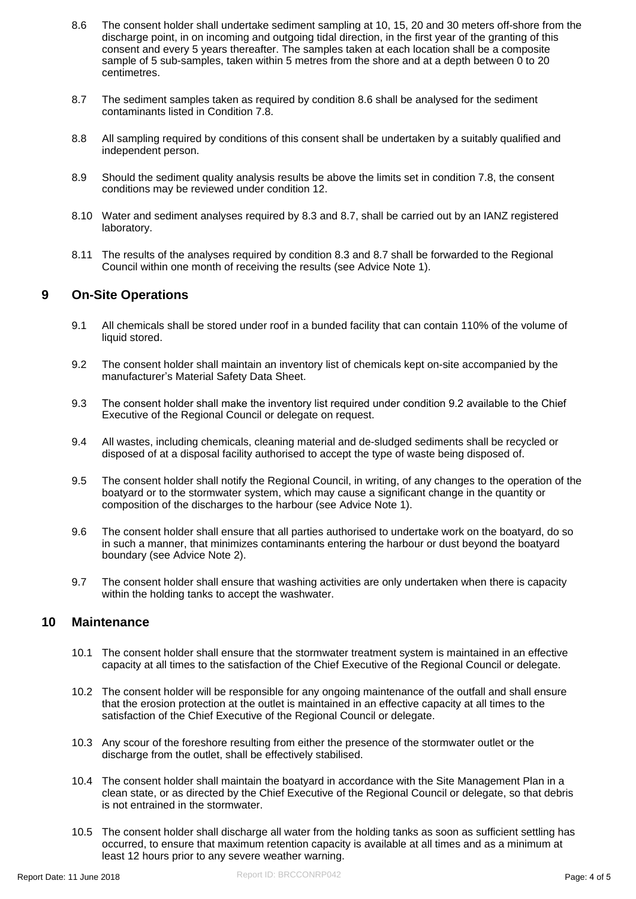- 8.6 The consent holder shall undertake sediment sampling at 10, 15, 20 and 30 meters off-shore from the discharge point, in on incoming and outgoing tidal direction, in the first year of the granting of this consent and every 5 years thereafter. The samples taken at each location shall be a composite sample of 5 sub-samples, taken within 5 metres from the shore and at a depth between 0 to 20 centimetres.
- 8.7 The sediment samples taken as required by condition 8.6 shall be analysed for the sediment contaminants listed in Condition 7.8.
- 8.8 All sampling required by conditions of this consent shall be undertaken by a suitably qualified and independent person.
- 8.9 Should the sediment quality analysis results be above the limits set in condition 7.8, the consent conditions may be reviewed under condition 12.
- 8.10 Water and sediment analyses required by 8.3 and 8.7, shall be carried out by an IANZ registered laboratory.
- 8.11 The results of the analyses required by condition 8.3 and 8.7 shall be forwarded to the Regional Council within one month of receiving the results (see Advice Note 1).

# **9 On-Site Operations**

- 9.1 All chemicals shall be stored under roof in a bunded facility that can contain 110% of the volume of liquid stored.
- 9.2 The consent holder shall maintain an inventory list of chemicals kept on-site accompanied by the manufacturer's Material Safety Data Sheet.
- 9.3 The consent holder shall make the inventory list required under condition 9.2 available to the Chief Executive of the Regional Council or delegate on request.
- 9.4 All wastes, including chemicals, cleaning material and de-sludged sediments shall be recycled or disposed of at a disposal facility authorised to accept the type of waste being disposed of.
- 9.5 The consent holder shall notify the Regional Council, in writing, of any changes to the operation of the boatyard or to the stormwater system, which may cause a significant change in the quantity or composition of the discharges to the harbour (see Advice Note 1).
- 9.6 The consent holder shall ensure that all parties authorised to undertake work on the boatyard, do so in such a manner, that minimizes contaminants entering the harbour or dust beyond the boatyard boundary (see Advice Note 2).
- 9.7 The consent holder shall ensure that washing activities are only undertaken when there is capacity within the holding tanks to accept the washwater.

# **10 Maintenance**

- 10.1 The consent holder shall ensure that the stormwater treatment system is maintained in an effective capacity at all times to the satisfaction of the Chief Executive of the Regional Council or delegate.
- 10.2 The consent holder will be responsible for any ongoing maintenance of the outfall and shall ensure that the erosion protection at the outlet is maintained in an effective capacity at all times to the satisfaction of the Chief Executive of the Regional Council or delegate.
- 10.3 Any scour of the foreshore resulting from either the presence of the stormwater outlet or the discharge from the outlet, shall be effectively stabilised.
- 10.4 The consent holder shall maintain the boatyard in accordance with the Site Management Plan in a clean state, or as directed by the Chief Executive of the Regional Council or delegate, so that debris is not entrained in the stormwater.
- 10.5 The consent holder shall discharge all water from the holding tanks as soon as sufficient settling has occurred, to ensure that maximum retention capacity is available at all times and as a minimum at least 12 hours prior to any severe weather warning.